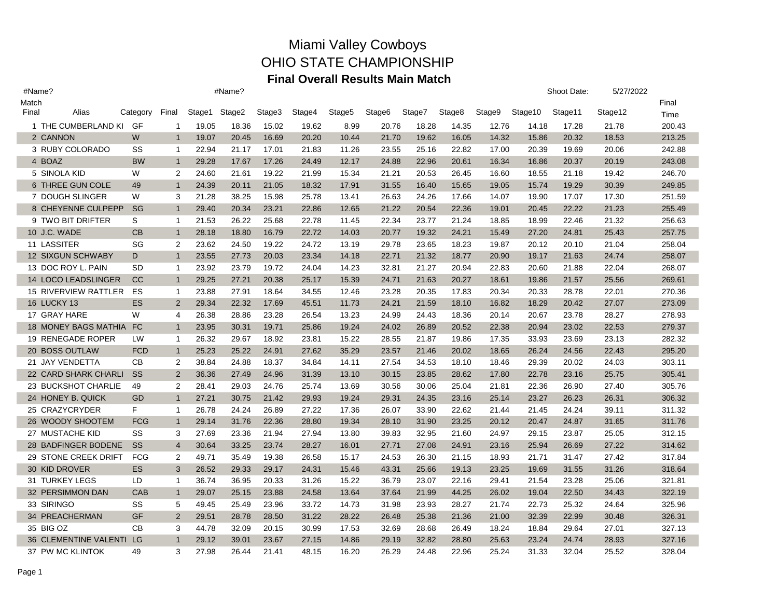| #Name? |                              |               |                |        | #Name? |        |        |        |                    |        |        |        |         | Shoot Date: | 5/27/2022 |        |
|--------|------------------------------|---------------|----------------|--------|--------|--------|--------|--------|--------------------|--------|--------|--------|---------|-------------|-----------|--------|
| Match  |                              |               |                |        |        |        |        |        |                    |        |        |        |         |             |           | Final  |
| Final  | Alias                        | Category      | Final          | Stage1 | Stage2 | Stage3 | Stage4 | Stage5 | Stage <sub>6</sub> | Stage7 | Stage8 | Stage9 | Stage10 | Stage11     | Stage12   | Time   |
|        | 1 THE CUMBERLAND KI          | GF            | 1              | 19.05  | 18.36  | 15.02  | 19.62  | 8.99   | 20.76              | 18.28  | 14.35  | 12.76  | 14.18   | 17.28       | 21.78     | 200.43 |
|        | 2 CANNON                     | W             | $\mathbf{1}$   | 19.07  | 20.45  | 16.69  | 20.20  | 10.44  | 21.70              | 19.62  | 16.05  | 14.32  | 15.86   | 20.32       | 18.53     | 213.25 |
|        | 3 RUBY COLORADO              | SS            | $\mathbf{1}$   | 22.94  | 21.17  | 17.01  | 21.83  | 11.26  | 23.55              | 25.16  | 22.82  | 17.00  | 20.39   | 19.69       | 20.06     | 242.88 |
|        | 4 BOAZ                       | <b>BW</b>     | $\mathbf{1}$   | 29.28  | 17.67  | 17.26  | 24.49  | 12.17  | 24.88              | 22.96  | 20.61  | 16.34  | 16.86   | 20.37       | 20.19     | 243.08 |
|        | 5 SINOLA KID                 | W             | $\overline{2}$ | 24.60  | 21.61  | 19.22  | 21.99  | 15.34  | 21.21              | 20.53  | 26.45  | 16.60  | 18.55   | 21.18       | 19.42     | 246.70 |
|        | 6 THREE GUN COLE             | 49            | $\mathbf{1}$   | 24.39  | 20.11  | 21.05  | 18.32  | 17.91  | 31.55              | 16.40  | 15.65  | 19.05  | 15.74   | 19.29       | 30.39     | 249.85 |
|        | 7 DOUGH SLINGER              | W             | 3              | 21.28  | 38.25  | 15.98  | 25.78  | 13.41  | 26.63              | 24.26  | 17.66  | 14.07  | 19.90   | 17.07       | 17.30     | 251.59 |
|        | 8 CHEYENNE CULPEPP           | <b>SG</b>     | $\mathbf{1}$   | 29.40  | 20.34  | 23.21  | 22.86  | 12.65  | 21.22              | 20.54  | 22.36  | 19.01  | 20.45   | 22.22       | 21.23     | 255.49 |
|        | 9 TWO BIT DRIFTER            | S             | $\mathbf{1}$   | 21.53  | 26.22  | 25.68  | 22.78  | 11.45  | 22.34              | 23.77  | 21.24  | 18.85  | 18.99   | 22.46       | 21.32     | 256.63 |
|        | 10 J.C. WADE                 | CB            | $\mathbf{1}$   | 28.18  | 18.80  | 16.79  | 22.72  | 14.03  | 20.77              | 19.32  | 24.21  | 15.49  | 27.20   | 24.81       | 25.43     | 257.75 |
|        | 11 LASSITER                  | SG            | 2              | 23.62  | 24.50  | 19.22  | 24.72  | 13.19  | 29.78              | 23.65  | 18.23  | 19.87  | 20.12   | 20.10       | 21.04     | 258.04 |
|        | <b>12 SIXGUN SCHWABY</b>     | D             | $\mathbf{1}$   | 23.55  | 27.73  | 20.03  | 23.34  | 14.18  | 22.71              | 21.32  | 18.77  | 20.90  | 19.17   | 21.63       | 24.74     | 258.07 |
|        | 13 DOC ROY L. PAIN           | SD            | $\mathbf{1}$   | 23.92  | 23.79  | 19.72  | 24.04  | 14.23  | 32.81              | 21.27  | 20.94  | 22.83  | 20.60   | 21.88       | 22.04     | 268.07 |
|        | <b>14 LOCO LEADSLINGER</b>   | <sub>CC</sub> | $\mathbf{1}$   | 29.25  | 27.21  | 20.38  | 25.17  | 15.39  | 24.71              | 21.63  | 20.27  | 18.61  | 19.86   | 21.57       | 25.56     | 269.61 |
|        | 15 RIVERVIEW RATTLER         | ES            | $\mathbf{1}$   | 23.88  | 27.91  | 18.64  | 34.55  | 12.46  | 23.28              | 20.35  | 17.83  | 20.34  | 20.33   | 28.78       | 22.01     | 270.36 |
|        | <b>16 LUCKY 13</b>           | <b>ES</b>     | 2              | 29.34  | 22.32  | 17.69  | 45.51  | 11.73  | 24.21              | 21.59  | 18.10  | 16.82  | 18.29   | 20.42       | 27.07     | 273.09 |
|        | 17 GRAY HARE                 | W             | 4              | 26.38  | 28.86  | 23.28  | 26.54  | 13.23  | 24.99              | 24.43  | 18.36  | 20.14  | 20.67   | 23.78       | 28.27     | 278.93 |
|        | 18 MONEY BAGS MATHIA FC      |               | $\mathbf{1}$   | 23.95  | 30.31  | 19.71  | 25.86  | 19.24  | 24.02              | 26.89  | 20.52  | 22.38  | 20.94   | 23.02       | 22.53     | 279.37 |
|        | 19 RENEGADE ROPER            | LW            | $\mathbf 1$    | 26.32  | 29.67  | 18.92  | 23.81  | 15.22  | 28.55              | 21.87  | 19.86  | 17.35  | 33.93   | 23.69       | 23.13     | 282.32 |
|        | 20 BOSS OUTLAW               | <b>FCD</b>    | $\mathbf{1}$   | 25.23  | 25.22  | 24.91  | 27.62  | 35.29  | 23.57              | 21.46  | 20.02  | 18.65  | 26.24   | 24.56       | 22.43     | 295.20 |
|        | 21 JAY VENDETTA              | CB            | $\overline{2}$ | 38.84  | 24.88  | 18.37  | 34.84  | 14.11  | 27.54              | 34.53  | 18.10  | 18.46  | 29.39   | 20.02       | 24.03     | 303.11 |
|        | 22 CARD SHARK CHARLI         | <b>SS</b>     | 2              | 36.36  | 27.49  | 24.96  | 31.39  | 13.10  | 30.15              | 23.85  | 28.62  | 17.80  | 22.78   | 23.16       | 25.75     | 305.41 |
|        | 23 BUCKSHOT CHARLIE          | 49            | 2              | 28.41  | 29.03  | 24.76  | 25.74  | 13.69  | 30.56              | 30.06  | 25.04  | 21.81  | 22.36   | 26.90       | 27.40     | 305.76 |
|        | 24 HONEY B. QUICK            | GD            | $\mathbf{1}$   | 27.21  | 30.75  | 21.42  | 29.93  | 19.24  | 29.31              | 24.35  | 23.16  | 25.14  | 23.27   | 26.23       | 26.31     | 306.32 |
|        | 25 CRAZYCRYDER               | F             | $\mathbf{1}$   | 26.78  | 24.24  | 26.89  | 27.22  | 17.36  | 26.07              | 33.90  | 22.62  | 21.44  | 21.45   | 24.24       | 39.11     | 311.32 |
|        | 26 WOODY SHOOTEM             | <b>FCG</b>    | $\mathbf{1}$   | 29.14  | 31.76  | 22.36  | 28.80  | 19.34  | 28.10              | 31.90  | 23.25  | 20.12  | 20.47   | 24.87       | 31.65     | 311.76 |
|        | 27 MUSTACHE KID              | SS            | 3              | 27.69  | 23.36  | 21.94  | 27.94  | 13.80  | 39.83              | 32.95  | 21.60  | 24.97  | 29.15   | 23.87       | 25.05     | 312.15 |
|        | 28 BADFINGER BODENE          | <b>SS</b>     | $\overline{4}$ | 30.64  | 33.25  | 23.74  | 28.27  | 16.01  | 27.71              | 27.08  | 24.91  | 23.16  | 25.94   | 26.69       | 27.22     | 314.62 |
|        | 29 STONE CREEK DRIFT         | <b>FCG</b>    | $\overline{2}$ | 49.71  | 35.49  | 19.38  | 26.58  | 15.17  | 24.53              | 26.30  | 21.15  | 18.93  | 21.71   | 31.47       | 27.42     | 317.84 |
|        | 30 KID DROVER                | <b>ES</b>     | 3              | 26.52  | 29.33  | 29.17  | 24.31  | 15.46  | 43.31              | 25.66  | 19.13  | 23.25  | 19.69   | 31.55       | 31.26     | 318.64 |
|        | 31 TURKEY LEGS               | LD            | $\mathbf{1}$   | 36.74  | 36.95  | 20.33  | 31.26  | 15.22  | 36.79              | 23.07  | 22.16  | 29.41  | 21.54   | 23.28       | 25.06     | 321.81 |
|        | 32 PERSIMMON DAN             | <b>CAB</b>    | $\mathbf{1}$   | 29.07  | 25.15  | 23.88  | 24.58  | 13.64  | 37.64              | 21.99  | 44.25  | 26.02  | 19.04   | 22.50       | 34.43     | 322.19 |
|        | 33 SIRINGO                   | SS            | 5              | 49.45  | 25.49  | 23.96  | 33.72  | 14.73  | 31.98              | 23.93  | 28.27  | 21.74  | 22.73   | 25.32       | 24.64     | 325.96 |
|        | 34 PREACHERMAN               | <b>GF</b>     | 2              | 29.51  | 28.78  | 28.50  | 31.22  | 28.22  | 26.48              | 25.38  | 21.36  | 21.00  | 32.39   | 22.99       | 30.48     | 326.31 |
|        | 35 BIG OZ                    | <b>CB</b>     | 3              | 44.78  | 32.09  | 20.15  | 30.99  | 17.53  | 32.69              | 28.68  | 26.49  | 18.24  | 18.84   | 29.64       | 27.01     | 327.13 |
|        | <b>36 CLEMENTINE VALENTI</b> | LG            | $\mathbf{1}$   | 29.12  | 39.01  | 23.67  | 27.15  | 14.86  | 29.19              | 32.82  | 28.80  | 25.63  | 23.24   | 24.74       | 28.93     | 327.16 |
|        | 37 PW MC KLINTOK             | 49            | 3              | 27.98  | 26.44  | 21.41  | 48.15  | 16.20  | 26.29              | 24.48  | 22.96  | 25.24  | 31.33   | 32.04       | 25.52     | 328.04 |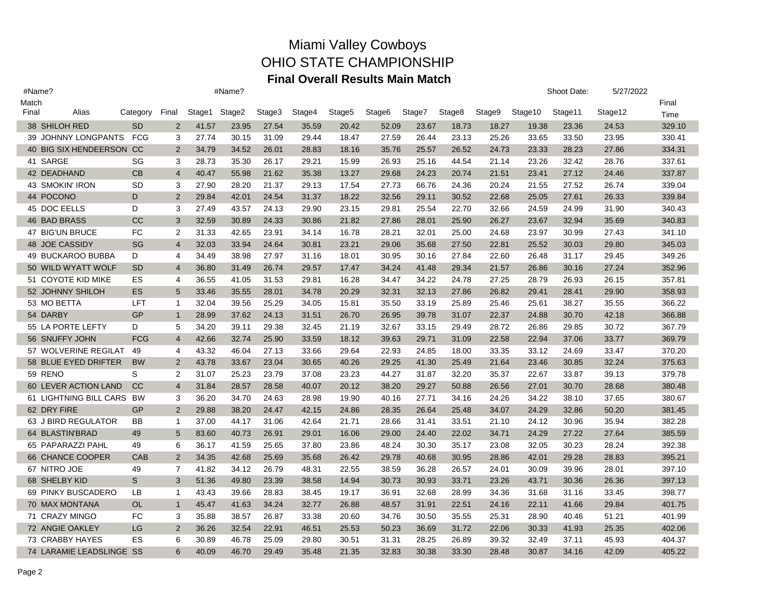| #Name? |                           |               |                |        | #Name? |        |        |        |                    |        |        |        |         | Shoot Date: | 5/27/2022 |        |
|--------|---------------------------|---------------|----------------|--------|--------|--------|--------|--------|--------------------|--------|--------|--------|---------|-------------|-----------|--------|
| Match  |                           |               |                |        |        |        |        |        |                    |        |        |        |         |             |           | Final  |
| Final  | Alias                     | Category      | Final          | Stage1 | Stage2 | Stage3 | Stage4 | Stage5 | Stage <sub>6</sub> | Stage7 | Stage8 | Stage9 | Stage10 | Stage11     | Stage12   | Time   |
|        | 38 SHILOH RED             | <b>SD</b>     | $\overline{2}$ | 41.57  | 23.95  | 27.54  | 35.59  | 20.42  | 52.09              | 23.67  | 18.73  | 18.27  | 19.38   | 23.36       | 24.53     | 329.10 |
|        | 39 JOHNNY LONGPANTS       | FCG           | 3              | 27.74  | 30.15  | 31.09  | 29.44  | 18.47  | 27.59              | 26.44  | 23.13  | 25.26  | 33.65   | 33.50       | 23.95     | 330.41 |
|        | 40 BIG SIX HENDEERSON CC  |               | 2              | 34.79  | 34.52  | 26.01  | 28.83  | 18.16  | 35.76              | 25.57  | 26.52  | 24.73  | 23.33   | 28.23       | 27.86     | 334.31 |
|        | 41 SARGE                  | SG            | 3              | 28.73  | 35.30  | 26.17  | 29.21  | 15.99  | 26.93              | 25.16  | 44.54  | 21.14  | 23.26   | 32.42       | 28.76     | 337.61 |
|        | 42 DEADHAND               | <b>CB</b>     | $\overline{4}$ | 40.47  | 55.98  | 21.62  | 35.38  | 13.27  | 29.68              | 24.23  | 20.74  | 21.51  | 23.41   | 27.12       | 24.46     | 337.87 |
|        | 43 SMOKIN' IRON           | <b>SD</b>     | 3              | 27.90  | 28.20  | 21.37  | 29.13  | 17.54  | 27.73              | 66.76  | 24.36  | 20.24  | 21.55   | 27.52       | 26.74     | 339.04 |
|        | 44 POCONO                 | D             | 2              | 29.84  | 42.01  | 24.54  | 31.37  | 18.22  | 32.56              | 29.11  | 30.52  | 22.68  | 25.05   | 27.61       | 26.33     | 339.84 |
|        | 45 DOC EELLS              | D             | 3              | 27.49  | 43.57  | 24.13  | 29.90  | 23.15  | 29.81              | 25.54  | 22.70  | 32.66  | 24.59   | 24.99       | 31.90     | 340.43 |
|        | <b>46 BAD BRASS</b>       | <sub>CC</sub> | 3              | 32.59  | 30.89  | 24.33  | 30.86  | 21.82  | 27.86              | 28.01  | 25.90  | 26.27  | 23.67   | 32.94       | 35.69     | 340.83 |
|        | 47 BIG'UN BRUCE           | FC            | 2              | 31.33  | 42.65  | 23.91  | 34.14  | 16.78  | 28.21              | 32.01  | 25.00  | 24.68  | 23.97   | 30.99       | 27.43     | 341.10 |
|        | 48 JOE CASSIDY            | SG            | $\overline{4}$ | 32.03  | 33.94  | 24.64  | 30.81  | 23.21  | 29.06              | 35.68  | 27.50  | 22.81  | 25.52   | 30.03       | 29.80     | 345.03 |
|        | 49 BUCKAROO BUBBA         | D             | 4              | 34.49  | 38.98  | 27.97  | 31.16  | 18.01  | 30.95              | 30.16  | 27.84  | 22.60  | 26.48   | 31.17       | 29.45     | 349.26 |
|        | 50 WILD WYATT WOLF        | <b>SD</b>     | $\overline{4}$ | 36.80  | 31.49  | 26.74  | 29.57  | 17.47  | 34.24              | 41.48  | 29.34  | 21.57  | 26.86   | 30.16       | 27.24     | 352.96 |
|        | 51 COYOTE KID MIKE        | ES            | 4              | 36.55  | 41.05  | 31.53  | 29.81  | 16.28  | 34.47              | 34.22  | 24.78  | 27.25  | 28.79   | 26.93       | 26.15     | 357.81 |
|        | 52 JOHNNY SHILOH          | <b>ES</b>     | 5              | 33.46  | 35.55  | 28.01  | 34.78  | 20.29  | 32.31              | 32.13  | 27.86  | 26.82  | 29.41   | 28.41       | 29.90     | 358.93 |
|        | 53 MO BETTA               | <b>LFT</b>    | $\mathbf{1}$   | 32.04  | 39.56  | 25.29  | 34.05  | 15.81  | 35.50              | 33.19  | 25.89  | 25.46  | 25.61   | 38.27       | 35.55     | 366.22 |
|        | 54 DARBY                  | GP            | $\mathbf{1}$   | 28.99  | 37.62  | 24.13  | 31.51  | 26.70  | 26.95              | 39.78  | 31.07  | 22.37  | 24.88   | 30.70       | 42.18     | 366.88 |
|        | 55 LA PORTE LEFTY         | D             | 5              | 34.20  | 39.11  | 29.38  | 32.45  | 21.19  | 32.67              | 33.15  | 29.49  | 28.72  | 26.86   | 29.85       | 30.72     | 367.79 |
|        | 56 SNUFFY JOHN            | <b>FCG</b>    | $\overline{4}$ | 42.66  | 32.74  | 25.90  | 33.59  | 18.12  | 39.63              | 29.71  | 31.09  | 22.58  | 22.94   | 37.06       | 33.77     | 369.79 |
|        | 57 WOLVERINE REGILAT      | 49            | 4              | 43.32  | 46.04  | 27.13  | 33.66  | 29.64  | 22.93              | 24.85  | 18.00  | 33.35  | 33.12   | 24.69       | 33.47     | 370.20 |
|        | 58 BLUE EYED DRIFTER      | <b>BW</b>     | 2              | 43.78  | 33.67  | 23.04  | 30.65  | 40.26  | 29.25              | 41.30  | 25.49  | 21.64  | 23.46   | 30.85       | 32.24     | 375.63 |
|        | 59 RENO                   | S             | 2              | 31.07  | 25.23  | 23.79  | 37.08  | 23.23  | 44.27              | 31.87  | 32.20  | 35.37  | 22.67   | 33.87       | 39.13     | 379.78 |
|        | 60 LEVER ACTION LAND      | <sub>CC</sub> | $\overline{4}$ | 31.84  | 28.57  | 28.58  | 40.07  | 20.12  | 38.20              | 29.27  | 50.88  | 26.56  | 27.01   | 30.70       | 28.68     | 380.48 |
|        | 61 LIGHTNING BILL CARS BW |               | 3              | 36.20  | 34.70  | 24.63  | 28.98  | 19.90  | 40.16              | 27.71  | 34.16  | 24.26  | 34.22   | 38.10       | 37.65     | 380.67 |
|        | 62 DRY FIRE               | GP            | 2              | 29.88  | 38.20  | 24.47  | 42.15  | 24.86  | 28.35              | 26.64  | 25.48  | 34.07  | 24.29   | 32.86       | 50.20     | 381.45 |
|        | 63 J BIRD REGULATOR       | BB            | $\mathbf{1}$   | 37.00  | 44.17  | 31.06  | 42.64  | 21.71  | 28.66              | 31.41  | 33.51  | 21.10  | 24.12   | 30.96       | 35.94     | 382.28 |
|        | 64 BLASTIN'BRAD           | 49            | 5              | 83.60  | 40.73  | 26.91  | 29.01  | 16.06  | 29.00              | 24.40  | 22.02  | 34.71  | 24.29   | 27.22       | 27.64     | 385.59 |
|        | 65 PAPARAZZI PAHL         | 49            | 6              | 36.17  | 41.59  | 25.65  | 37.80  | 23.86  | 48.24              | 30.30  | 35.17  | 23.08  | 32.05   | 30.23       | 28.24     | 392.38 |
|        | 66 CHANCE COOPER          | CAB           | 2              | 34.35  | 42.68  | 25.69  | 35.68  | 26.42  | 29.78              | 40.68  | 30.95  | 28.86  | 42.01   | 29.28       | 28.83     | 395.21 |
|        | 67 NITRO JOE              | 49            | $\overline{7}$ | 41.82  | 34.12  | 26.79  | 48.31  | 22.55  | 38.59              | 36.28  | 26.57  | 24.01  | 30.09   | 39.96       | 28.01     | 397.10 |
|        | 68 SHELBY KID             | S             | 3              | 51.36  | 49.80  | 23.39  | 38.58  | 14.94  | 30.73              | 30.93  | 33.71  | 23.26  | 43.71   | 30.36       | 26.36     | 397.13 |
|        | 69 PINKY BUSCADERO        | LB            | $\mathbf{1}$   | 43.43  | 39.66  | 28.83  | 38.45  | 19.17  | 36.91              | 32.68  | 28.99  | 34.36  | 31.68   | 31.16       | 33.45     | 398.77 |
|        | 70 MAX MONTANA            | <b>OL</b>     | $\mathbf{1}$   | 45.47  | 41.63  | 34.24  | 32.77  | 26.88  | 48.57              | 31.91  | 22.51  | 24.16  | 22.11   | 41.66       | 29.84     | 401.75 |
|        | 71 CRAZY MINGO            | <b>FC</b>     | 3              | 35.88  | 38.57  | 26.87  | 33.38  | 20.60  | 34.76              | 30.50  | 35.55  | 25.31  | 28.90   | 40.46       | 51.21     | 401.99 |
|        | 72 ANGIE OAKLEY           | LG            | 2              | 36.26  | 32.54  | 22.91  | 46.51  | 25.53  | 50.23              | 36.69  | 31.72  | 22.06  | 30.33   | 41.93       | 25.35     | 402.06 |
|        | 73 CRABBY HAYES           | ES            | 6              | 30.89  | 46.78  | 25.09  | 29.80  | 30.51  | 31.31              | 28.25  | 26.89  | 39.32  | 32.49   | 37.11       | 45.93     | 404.37 |
|        | 74 LARAMIE LEADSLINGE SS  |               | 6              | 40.09  | 46.70  | 29.49  | 35.48  | 21.35  | 32.83              | 30.38  | 33.30  | 28.48  | 30.87   | 34.16       | 42.09     | 405.22 |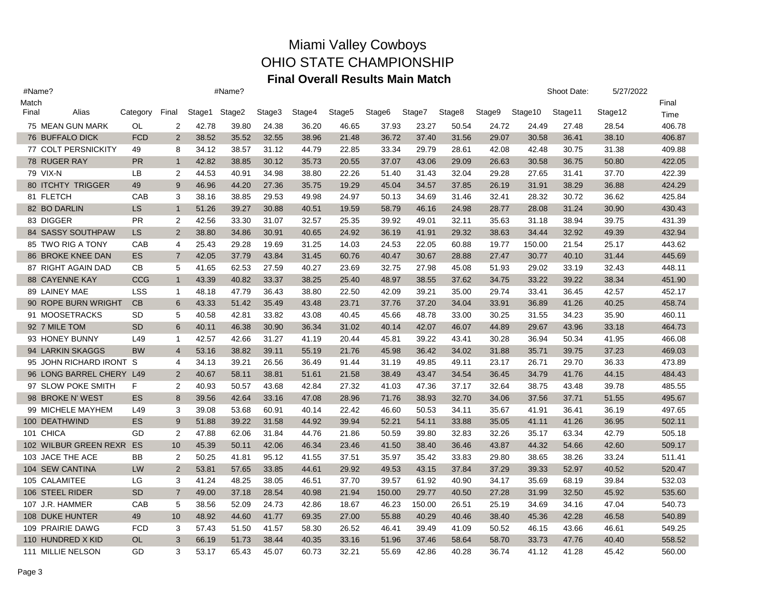| #Name? |                          | #Name?     |                |               |       |        |        |        |                    |        |        |        |         | Shoot Date: | 5/27/2022 |        |
|--------|--------------------------|------------|----------------|---------------|-------|--------|--------|--------|--------------------|--------|--------|--------|---------|-------------|-----------|--------|
| Match  |                          |            |                |               |       |        |        |        |                    |        |        |        |         |             |           | Final  |
| Final  | Alias                    | Category   | Final          | Stage1 Stage2 |       | Stage3 | Stage4 | Stage5 | Stage <sub>6</sub> | Stage7 | Stage8 | Stage9 | Stage10 | Stage11     | Stage12   | Time   |
|        | 75 MEAN GUN MARK         | OL         | 2              | 42.78         | 39.80 | 24.38  | 36.20  | 46.65  | 37.93              | 23.27  | 50.54  | 24.72  | 24.49   | 27.48       | 28.54     | 406.78 |
|        | <b>76 BUFFALO DICK</b>   | <b>FCD</b> | 2              | 38.52         | 35.52 | 32.55  | 38.96  | 21.48  | 36.72              | 37.40  | 31.56  | 29.07  | 30.58   | 36.41       | 38.10     | 406.87 |
|        | 77 COLT PERSNICKITY      | 49         | 8              | 34.12         | 38.57 | 31.12  | 44.79  | 22.85  | 33.34              | 29.79  | 28.61  | 42.08  | 42.48   | 30.75       | 31.38     | 409.88 |
|        | 78 RUGER RAY             | <b>PR</b>  | $\mathbf{1}$   | 42.82         | 38.85 | 30.12  | 35.73  | 20.55  | 37.07              | 43.06  | 29.09  | 26.63  | 30.58   | 36.75       | 50.80     | 422.05 |
|        | 79 VIX-N                 | <b>LB</b>  | $\overline{2}$ | 44.53         | 40.91 | 34.98  | 38.80  | 22.26  | 51.40              | 31.43  | 32.04  | 29.28  | 27.65   | 31.41       | 37.70     | 422.39 |
|        | <b>80 ITCHTY TRIGGER</b> | 49         | 9              | 46.96         | 44.20 | 27.36  | 35.75  | 19.29  | 45.04              | 34.57  | 37.85  | 26.19  | 31.91   | 38.29       | 36.88     | 424.29 |
|        | 81 FLETCH                | CAB        | 3              | 38.16         | 38.85 | 29.53  | 49.98  | 24.97  | 50.13              | 34.69  | 31.46  | 32.41  | 28.32   | 30.72       | 36.62     | 425.84 |
|        | 82 BO DARLIN             | <b>LS</b>  | $\mathbf{1}$   | 51.26         | 39.27 | 30.88  | 40.51  | 19.59  | 58.79              | 46.16  | 24.98  | 28.77  | 28.08   | 31.24       | 30.90     | 430.43 |
|        | 83 DIGGER                | <b>PR</b>  | $\overline{2}$ | 42.56         | 33.30 | 31.07  | 32.57  | 25.35  | 39.92              | 49.01  | 32.11  | 35.63  | 31.18   | 38.94       | 39.75     | 431.39 |
|        | 84 SASSY SOUTHPAW        | LS         | $\overline{2}$ | 38.80         | 34.86 | 30.91  | 40.65  | 24.92  | 36.19              | 41.91  | 29.32  | 38.63  | 34.44   | 32.92       | 49.39     | 432.94 |
|        | 85 TWO RIG A TONY        | CAB        | 4              | 25.43         | 29.28 | 19.69  | 31.25  | 14.03  | 24.53              | 22.05  | 60.88  | 19.77  | 150.00  | 21.54       | 25.17     | 443.62 |
|        | 86 BROKE KNEE DAN        | <b>ES</b>  | $\overline{7}$ | 42.05         | 37.79 | 43.84  | 31.45  | 60.76  | 40.47              | 30.67  | 28.88  | 27.47  | 30.77   | 40.10       | 31.44     | 445.69 |
|        | 87 RIGHT AGAIN DAD       | CВ         | 5              | 41.65         | 62.53 | 27.59  | 40.27  | 23.69  | 32.75              | 27.98  | 45.08  | 51.93  | 29.02   | 33.19       | 32.43     | 448.11 |
|        | <b>88 CAYENNE KAY</b>    | CCG        | $\mathbf{1}$   | 43.39         | 40.82 | 33.37  | 38.25  | 25.40  | 48.97              | 38.55  | 37.62  | 34.75  | 33.22   | 39.22       | 38.34     | 451.90 |
|        | 89 LAINEY MAE            | LSS        | $\mathbf{1}$   | 48.18         | 47.79 | 36.43  | 38.80  | 22.50  | 42.09              | 39.21  | 35.00  | 29.74  | 33.41   | 36.45       | 42.57     | 452.17 |
|        | 90 ROPE BURN WRIGHT      | CB         | 6              | 43.33         | 51.42 | 35.49  | 43.48  | 23.71  | 37.76              | 37.20  | 34.04  | 33.91  | 36.89   | 41.26       | 40.25     | 458.74 |
|        | 91 MOOSETRACKS           | SD         | 5              | 40.58         | 42.81 | 33.82  | 43.08  | 40.45  | 45.66              | 48.78  | 33.00  | 30.25  | 31.55   | 34.23       | 35.90     | 460.11 |
|        | 92 7 MILE TOM            | <b>SD</b>  | 6              | 40.11         | 46.38 | 30.90  | 36.34  | 31.02  | 40.14              | 42.07  | 46.07  | 44.89  | 29.67   | 43.96       | 33.18     | 464.73 |
|        | 93 HONEY BUNNY           | L49        | $\mathbf{1}$   | 42.57         | 42.66 | 31.27  | 41.19  | 20.44  | 45.81              | 39.22  | 43.41  | 30.28  | 36.94   | 50.34       | 41.95     | 466.08 |
|        | 94 LARKIN SKAGGS         | <b>BW</b>  | $\overline{4}$ | 53.16         | 38.82 | 39.11  | 55.19  | 21.76  | 45.98              | 36.42  | 34.02  | 31.88  | 35.71   | 39.75       | 37.23     | 469.03 |
|        | 95 JOHN RICHARD IRONT S  |            | 4              | 34.13         | 39.21 | 26.56  | 36.49  | 91.44  | 31.19              | 49.85  | 49.11  | 23.17  | 26.71   | 29.70       | 36.33     | 473.89 |
|        | 96 LONG BARREL CHERY L49 |            | $\overline{2}$ | 40.67         | 58.11 | 38.81  | 51.61  | 21.58  | 38.49              | 43.47  | 34.54  | 36.45  | 34.79   | 41.76       | 44.15     | 484.43 |
|        | 97 SLOW POKE SMITH       | F          | 2              | 40.93         | 50.57 | 43.68  | 42.84  | 27.32  | 41.03              | 47.36  | 37.17  | 32.64  | 38.75   | 43.48       | 39.78     | 485.55 |
|        | 98 BROKE N' WEST         | <b>ES</b>  | 8              | 39.56         | 42.64 | 33.16  | 47.08  | 28.96  | 71.76              | 38.93  | 32.70  | 34.06  | 37.56   | 37.71       | 51.55     | 495.67 |
|        | 99 MICHELE MAYHEM        | L49        | 3              | 39.08         | 53.68 | 60.91  | 40.14  | 22.42  | 46.60              | 50.53  | 34.11  | 35.67  | 41.91   | 36.41       | 36.19     | 497.65 |
|        | 100 DEATHWIND            | <b>ES</b>  | 9              | 51.88         | 39.22 | 31.58  | 44.92  | 39.94  | 52.21              | 54.11  | 33.88  | 35.05  | 41.11   | 41.26       | 36.95     | 502.11 |
|        | 101 CHICA                | GD         | 2              | 47.88         | 62.06 | 31.84  | 44.76  | 21.86  | 50.59              | 39.80  | 32.83  | 32.26  | 35.17   | 63.34       | 42.79     | 505.18 |
|        | 102 WILBUR GREEN REXR ES |            | 10             | 45.39         | 50.11 | 42.06  | 46.34  | 23.46  | 41.50              | 38.40  | 36.46  | 43.87  | 44.32   | 54.66       | 42.60     | 509.17 |
|        | 103 JACE THE ACE         | BB         | $\overline{2}$ | 50.25         | 41.81 | 95.12  | 41.55  | 37.51  | 35.97              | 35.42  | 33.83  | 29.80  | 38.65   | 38.26       | 33.24     | 511.41 |
|        | 104 SEW CANTINA          | <b>LW</b>  | 2              | 53.81         | 57.65 | 33.85  | 44.61  | 29.92  | 49.53              | 43.15  | 37.84  | 37.29  | 39.33   | 52.97       | 40.52     | 520.47 |
|        | 105 CALAMITEE            | LG         | 3              | 41.24         | 48.25 | 38.05  | 46.51  | 37.70  | 39.57              | 61.92  | 40.90  | 34.17  | 35.69   | 68.19       | 39.84     | 532.03 |
|        | 106 STEEL RIDER          | <b>SD</b>  | $\overline{7}$ | 49.00         | 37.18 | 28.54  | 40.98  | 21.94  | 150.00             | 29.77  | 40.50  | 27.28  | 31.99   | 32.50       | 45.92     | 535.60 |
|        | 107 J.R. HAMMER          | CAB        | 5              | 38.56         | 52.09 | 24.73  | 42.86  | 18.67  | 46.23              | 150.00 | 26.51  | 25.19  | 34.69   | 34.16       | 47.04     | 540.73 |
|        | 108 DUKE HUNTER          | 49         | 10             | 48.92         | 44.60 | 41.77  | 69.35  | 27.00  | 55.88              | 40.29  | 40.46  | 38.40  | 45.36   | 42.28       | 46.58     | 540.89 |
|        | 109 PRAIRIE DAWG         | <b>FCD</b> | 3              | 57.43         | 51.50 | 41.57  | 58.30  | 26.52  | 46.41              | 39.49  | 41.09  | 50.52  | 46.15   | 43.66       | 46.61     | 549.25 |
|        | 110 HUNDRED X KID        | <b>OL</b>  | 3              | 66.19         | 51.73 | 38.44  | 40.35  | 33.16  | 51.96              | 37.46  | 58.64  | 58.70  | 33.73   | 47.76       | 40.40     | 558.52 |
|        | 111 MILLIE NELSON        | GD         | 3              | 53.17         | 65.43 | 45.07  | 60.73  | 32.21  | 55.69              | 42.86  | 40.28  | 36.74  | 41.12   | 41.28       | 45.42     | 560.00 |